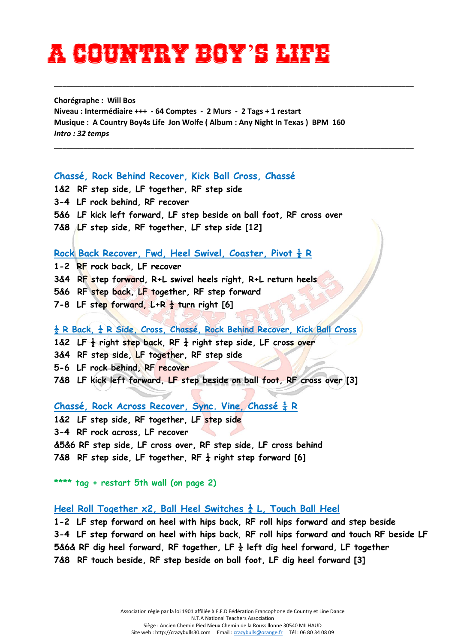# **A Country boy**'**s life**

**Chorégraphe : Will Bos Niveau : Intermédiaire +++ - 64 Comptes - 2 Murs - 2 Tags + 1 restart Musique : A Country Boy4s Life Jon Wolfe ( Album : Any Night In Texas ) BPM 160** *Intro : 32 temps*

\_\_\_\_\_\_\_\_\_\_\_\_\_\_\_\_\_\_\_\_\_\_\_\_\_\_\_\_\_\_\_\_\_\_\_\_\_\_\_\_\_\_\_\_\_\_\_\_\_\_\_\_\_\_\_\_\_\_\_\_\_\_\_\_\_\_\_\_\_\_\_\_\_\_\_\_\_\_\_\_\_\_\_\_\_\_

\_\_\_\_\_\_\_\_\_\_\_\_\_\_\_\_\_\_\_\_\_\_\_\_\_\_\_\_\_\_\_\_\_\_\_\_\_\_\_\_\_\_\_\_\_\_\_\_\_\_\_\_\_\_\_\_\_\_\_\_\_\_\_\_\_\_\_\_\_\_\_\_\_\_\_\_\_\_\_\_\_\_\_\_\_\_

#### **Chassé, Rock Behind Recover, Kick Ball Cross, Chassé**

- **1&2 RF step side, LF together, RF step side**
- **3-4 LF rock behind, RF recover**
- **5&6 LF kick left forward, LF step beside on ball foot, RF cross over**
- **7&8 LF step side, RF together, LF step side [12]**

#### **Rock Back Recover, Fwd, Heel Swivel, Coaster, Pivot ½ R**

- **1-2 RF rock back, LF recover**
- **3&4 RF step forward, R+L swivel heels right, R+L return heels**
- **5&6 RF step back, LF together, RF step forward**
- **7-8 LF step forward, L+R ½ turn right [6]**

### **½ R Back, ¼ R Side, Cross, Chassé, Rock Behind Recover, Kick Ball Cross**

- **1&2 LF ½ right step back, RF ¼ right step side, LF cross over**
- **3&4 RF step side, LF together, RF step side**
- **5-6 LF rock behind, RF recover**
- **7&8 LF kick left forward, LF step beside on ball foot, RF cross over [3]**

## **Chassé, Rock Across Recover, Sync. Vine, Chassé ¼ R**

**1&2 LF step side, RF together, LF step side** 

**3-4 RF rock across, LF recover** 

**&5&6 RF step side, LF cross over, RF step side, LF cross behind 7&8 RF step side, LF together, RF ¼ right step forward [6]**

**\*\*\*\* tag + restart 5th wall (on page 2)**

Heel Roll Together x2, Ball Heel Switches  $\frac{1}{4}$  L. Touch Ball Heel

**1-2 LF step forward on heel with hips back, RF roll hips forward and step beside 3-4 LF step forward on heel with hips back, RF roll hips forward and touch RF beside LF 5&6& RF dig heel forward, RF together, LF ¼ left dig heel forward, LF together 7&8 RF touch beside, RF step beside on ball foot, LF dig heel forward [3]**